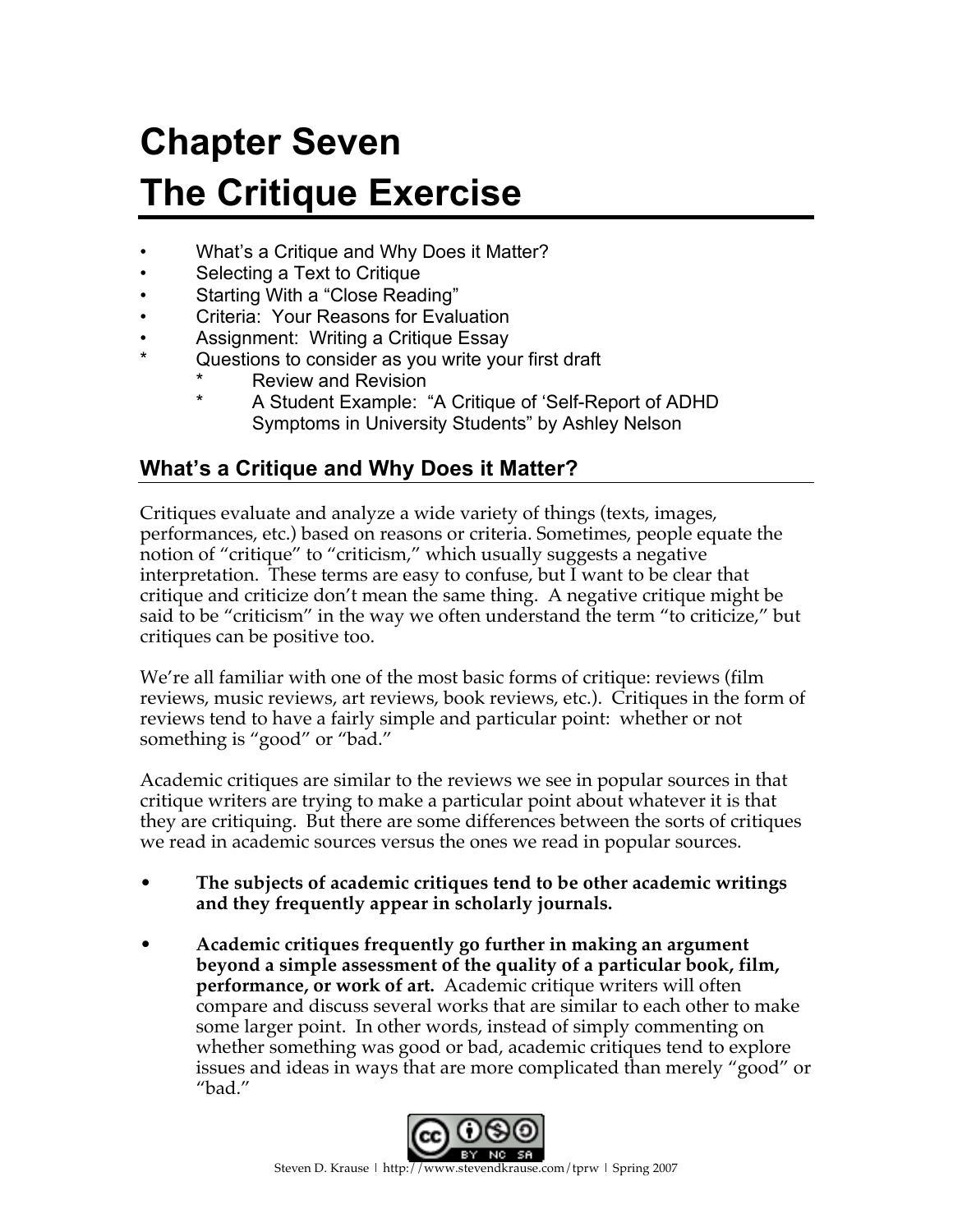# **Chapter Seven The Critique Exercise**

- What's a Critique and Why Does it Matter?
- Selecting a Text to Critique
- Starting With a "Close Reading"
- Criteria: Your Reasons for Evaluation
- Assignment: Writing a Critique Essay
- Questions to consider as you write your first draft
	- **Review and Revision** 
		- A Student Example: "A Critique of 'Self-Report of ADHD Symptoms in University Students" by Ashley Nelson

## **What's a Critique and Why Does it Matter?**

Critiques evaluate and analyze a wide variety of things (texts, images, performances, etc.) based on reasons or criteria. Sometimes, people equate the notion of "critique" to "criticism," which usually suggests a negative interpretation. These terms are easy to confuse, but I want to be clear that critique and criticize don't mean the same thing. A negative critique might be said to be "criticism" in the way we often understand the term "to criticize," but critiques can be positive too.

We're all familiar with one of the most basic forms of critique: reviews (film reviews, music reviews, art reviews, book reviews, etc.). Critiques in the form of reviews tend to have a fairly simple and particular point: whether or not something is "good" or "bad."

Academic critiques are similar to the reviews we see in popular sources in that critique writers are trying to make a particular point about whatever it is that they are critiquing. But there are some differences between the sorts of critiques we read in academic sources versus the ones we read in popular sources.

- **The subjects of academic critiques tend to be other academic writings and they frequently appear in scholarly journals.**
- **Academic critiques frequently go further in making an argument beyond a simple assessment of the quality of a particular book, film, performance, or work of art.** Academic critique writers will often compare and discuss several works that are similar to each other to make some larger point. In other words, instead of simply commenting on whether something was good or bad, academic critiques tend to explore issues and ideas in ways that are more complicated than merely "good" or "bad."

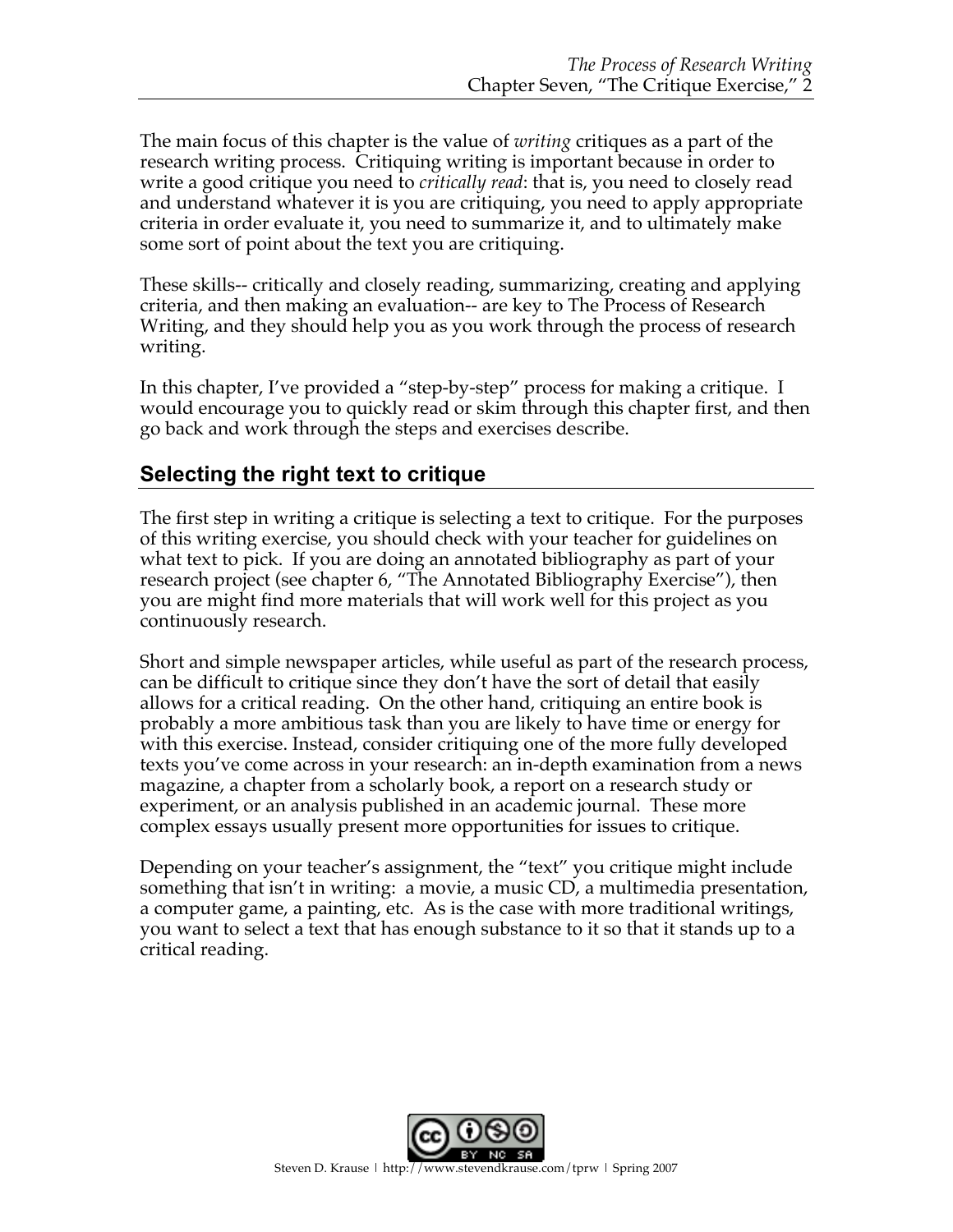The main focus of this chapter is the value of *writing* critiques as a part of the research writing process. Critiquing writing is important because in order to write a good critique you need to *critically read*: that is, you need to closely read and understand whatever it is you are critiquing, you need to apply appropriate criteria in order evaluate it, you need to summarize it, and to ultimately make some sort of point about the text you are critiquing.

These skills-- critically and closely reading, summarizing, creating and applying criteria, and then making an evaluation-- are key to The Process of Research Writing, and they should help you as you work through the process of research writing.

In this chapter, I've provided a "step-by-step" process for making a critique. I would encourage you to quickly read or skim through this chapter first, and then go back and work through the steps and exercises describe.

## **Selecting the right text to critique**

The first step in writing a critique is selecting a text to critique. For the purposes of this writing exercise, you should check with your teacher for guidelines on what text to pick. If you are doing an annotated bibliography as part of your research project (see chapter 6, "The Annotated Bibliography Exercise"), then you are might find more materials that will work well for this project as you continuously research.

Short and simple newspaper articles, while useful as part of the research process, can be difficult to critique since they don't have the sort of detail that easily allows for a critical reading. On the other hand, critiquing an entire book is probably a more ambitious task than you are likely to have time or energy for with this exercise. Instead, consider critiquing one of the more fully developed texts you've come across in your research: an in-depth examination from a news magazine, a chapter from a scholarly book, a report on a research study or experiment, or an analysis published in an academic journal. These more complex essays usually present more opportunities for issues to critique.

Depending on your teacher's assignment, the "text" you critique might include something that isn't in writing: a movie, a music CD, a multimedia presentation, a computer game, a painting, etc. As is the case with more traditional writings, you want to select a text that has enough substance to it so that it stands up to a critical reading.

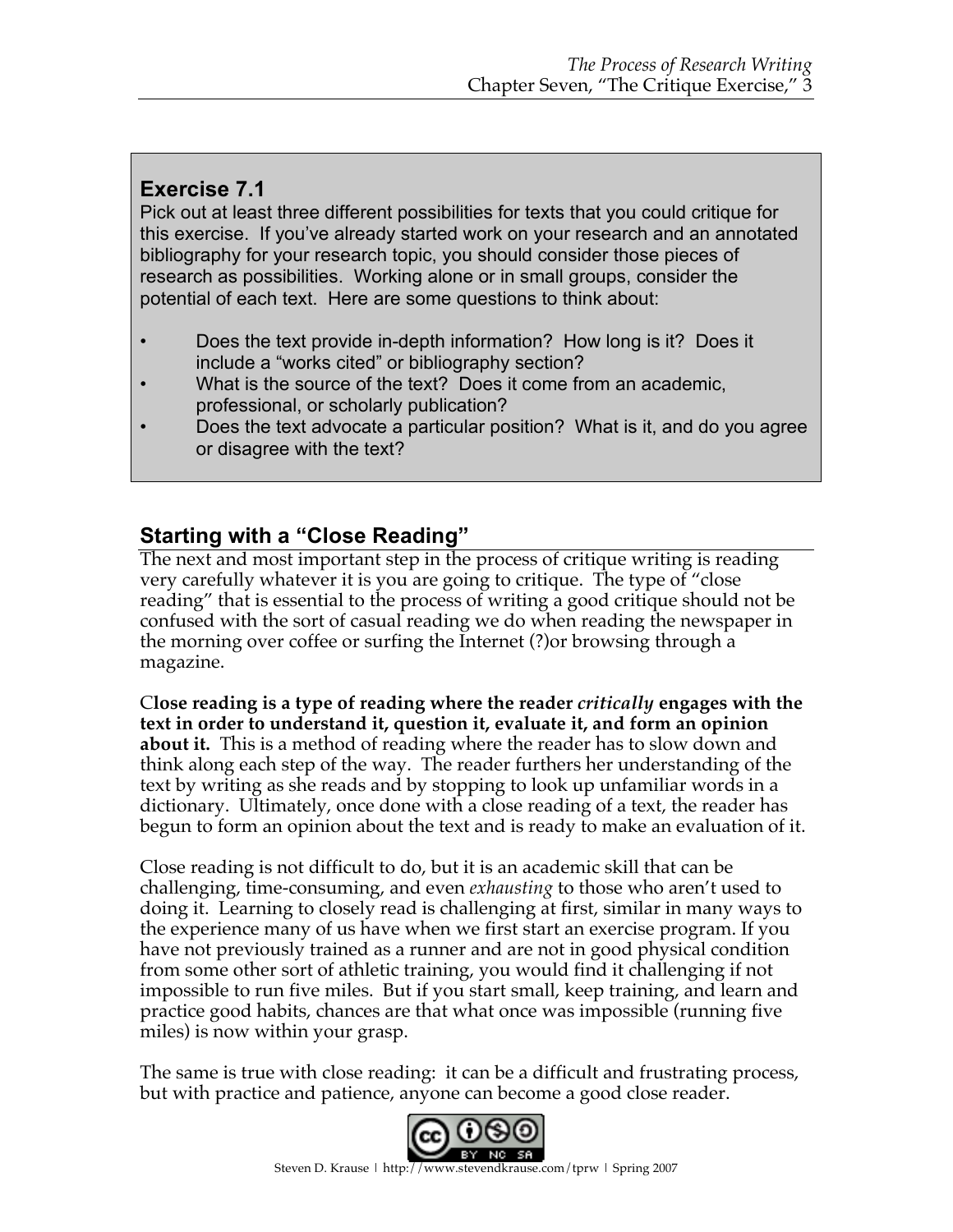## **Exercise 7.1**

Pick out at least three different possibilities for texts that you could critique for this exercise. If you've already started work on your research and an annotated bibliography for your research topic, you should consider those pieces of research as possibilities. Working alone or in small groups, consider the potential of each text. Here are some questions to think about:

- Does the text provide in-depth information? How long is it? Does it include a "works cited" or bibliography section?
- What is the source of the text? Does it come from an academic, professional, or scholarly publication?
- Does the text advocate a particular position? What is it, and do you agree or disagree with the text?

## **Starting with a "Close Reading"**

The next and most important step in the process of critique writing is reading very carefully whatever it is you are going to critique. The type of "close reading" that is essential to the process of writing a good critique should not be confused with the sort of casual reading we do when reading the newspaper in the morning over coffee or surfing the Internet (?)or browsing through a magazine.

C**lose reading is a type of reading where the reader** *critically* **engages with the text in order to understand it, question it, evaluate it, and form an opinion about it.** This is a method of reading where the reader has to slow down and think along each step of the way. The reader furthers her understanding of the text by writing as she reads and by stopping to look up unfamiliar words in a dictionary. Ultimately, once done with a close reading of a text, the reader has begun to form an opinion about the text and is ready to make an evaluation of it.

Close reading is not difficult to do, but it is an academic skill that can be challenging, time-consuming, and even *exhausting* to those who aren't used to doing it. Learning to closely read is challenging at first, similar in many ways to the experience many of us have when we first start an exercise program. If you have not previously trained as a runner and are not in good physical condition from some other sort of athletic training, you would find it challenging if not impossible to run five miles. But if you start small, keep training, and learn and practice good habits, chances are that what once was impossible (running five miles) is now within your grasp.

The same is true with close reading: it can be a difficult and frustrating process, but with practice and patience, anyone can become a good close reader.

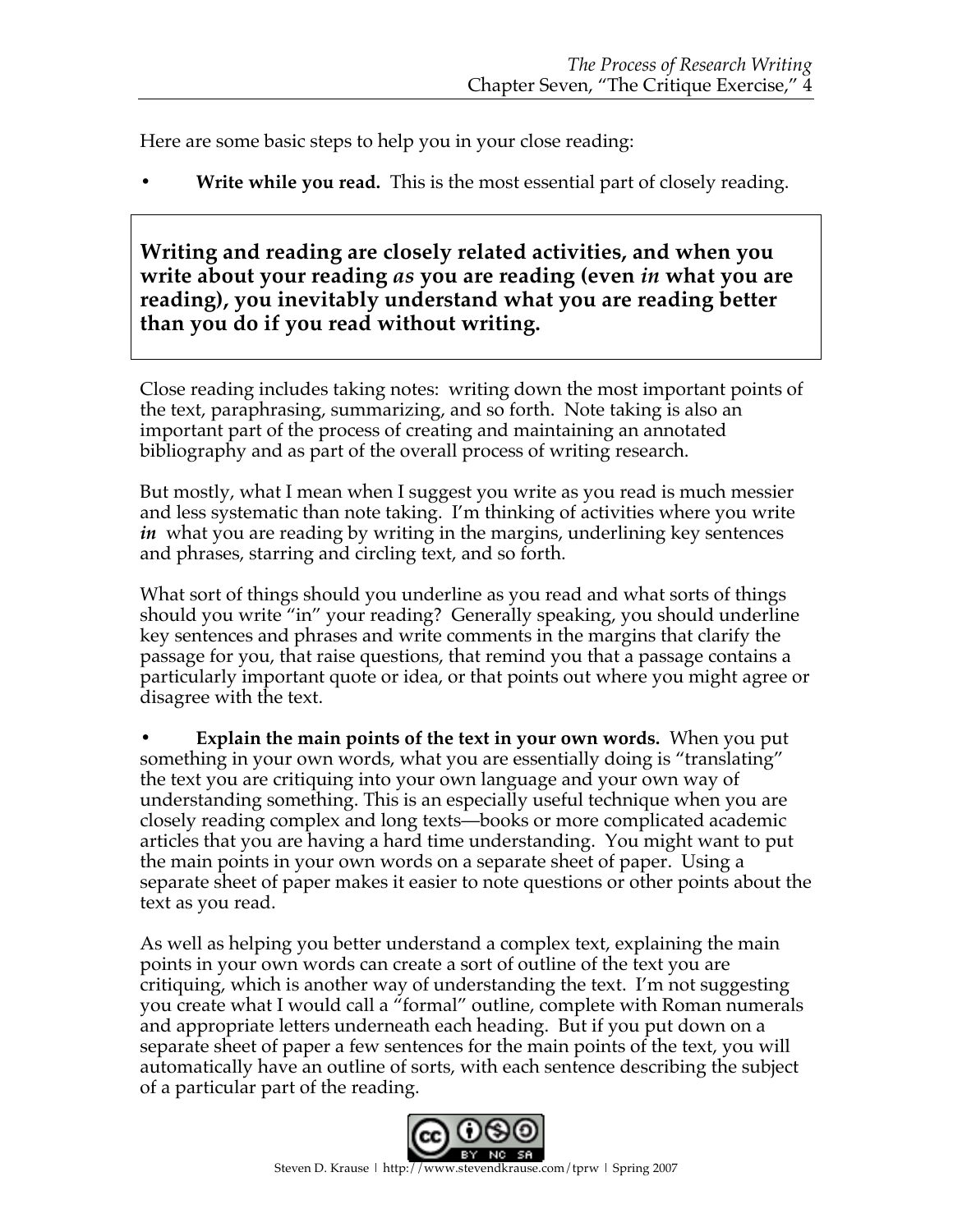Here are some basic steps to help you in your close reading:

**• Write while you read.** This is the most essential part of closely reading.

**Writing and reading are closely related activities, and when you write about your reading** *as* **you are reading (even** *in* **what you are reading), you inevitably understand what you are reading better than you do if you read without writing.**

Close reading includes taking notes: writing down the most important points of the text, paraphrasing, summarizing, and so forth. Note taking is also an important part of the process of creating and maintaining an annotated bibliography and as part of the overall process of writing research.

But mostly, what I mean when I suggest you write as you read is much messier and less systematic than note taking. I'm thinking of activities where you write *in* what you are reading by writing in the margins, underlining key sentences and phrases, starring and circling text, and so forth.

What sort of things should you underline as you read and what sorts of things should you write "in" your reading? Generally speaking, you should underline key sentences and phrases and write comments in the margins that clarify the passage for you, that raise questions, that remind you that a passage contains a particularly important quote or idea, or that points out where you might agree or disagree with the text.

**• Explain the main points of the text in your own words.** When you put something in your own words, what you are essentially doing is "translating" the text you are critiquing into your own language and your own way of understanding something. This is an especially useful technique when you are closely reading complex and long texts—books or more complicated academic articles that you are having a hard time understanding. You might want to put the main points in your own words on a separate sheet of paper. Using a separate sheet of paper makes it easier to note questions or other points about the text as you read.

As well as helping you better understand a complex text, explaining the main points in your own words can create a sort of outline of the text you are critiquing, which is another way of understanding the text. I'm not suggesting you create what I would call a "formal" outline, complete with Roman numerals and appropriate letters underneath each heading. But if you put down on a separate sheet of paper a few sentences for the main points of the text, you will automatically have an outline of sorts, with each sentence describing the subject of a particular part of the reading.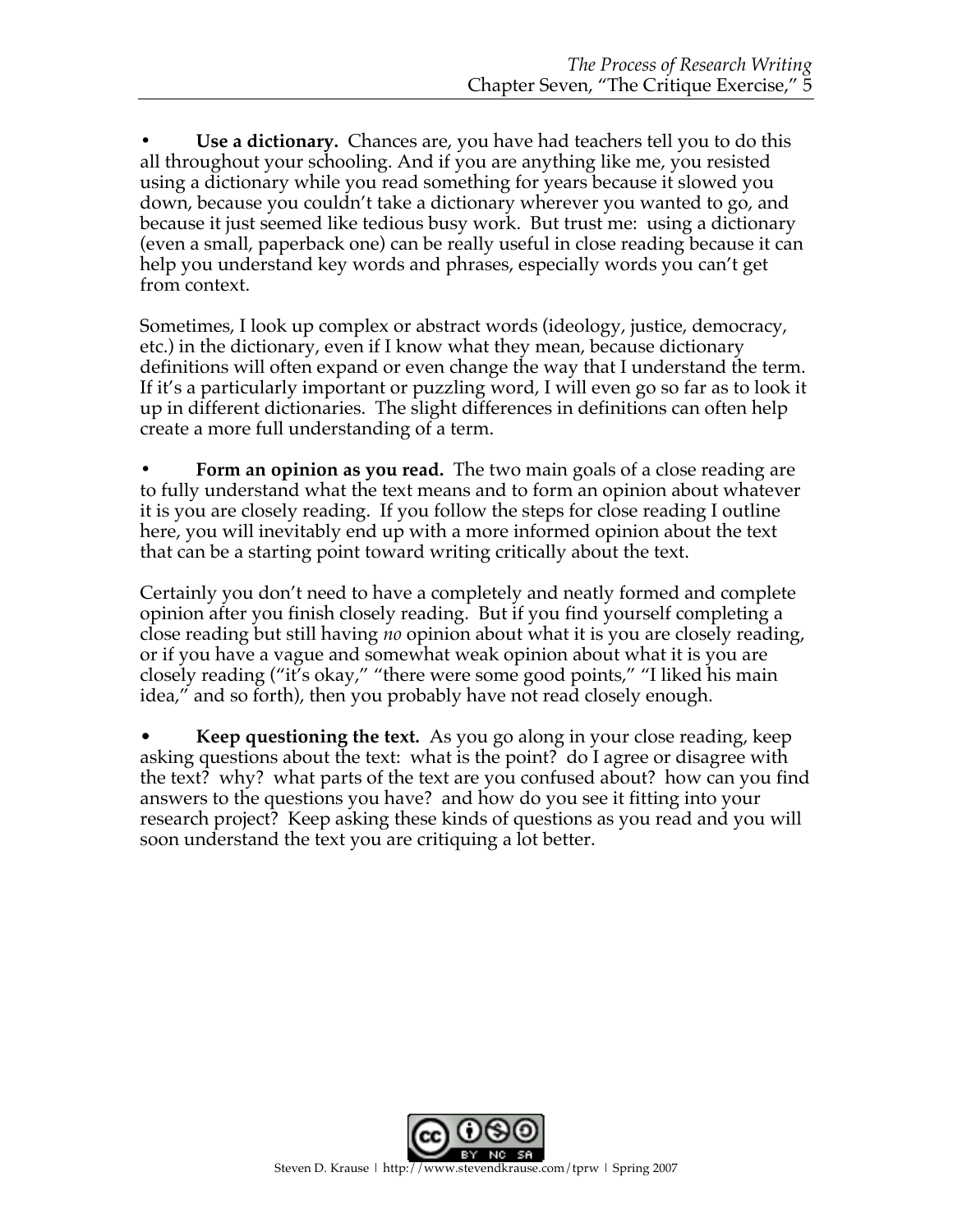**• Use a dictionary.** Chances are, you have had teachers tell you to do this all throughout your schooling. And if you are anything like me, you resisted using a dictionary while you read something for years because it slowed you down, because you couldn't take a dictionary wherever you wanted to go, and because it just seemed like tedious busy work. But trust me: using a dictionary (even a small, paperback one) can be really useful in close reading because it can help you understand key words and phrases, especially words you can't get from context.

Sometimes, I look up complex or abstract words (ideology, justice, democracy, etc.) in the dictionary, even if I know what they mean, because dictionary definitions will often expand or even change the way that I understand the term. If it's a particularly important or puzzling word, I will even go so far as to look it up in different dictionaries. The slight differences in definitions can often help create a more full understanding of a term.

**• Form an opinion as you read.** The two main goals of a close reading are to fully understand what the text means and to form an opinion about whatever it is you are closely reading. If you follow the steps for close reading I outline here, you will inevitably end up with a more informed opinion about the text that can be a starting point toward writing critically about the text.

Certainly you don't need to have a completely and neatly formed and complete opinion after you finish closely reading. But if you find yourself completing a close reading but still having *no* opinion about what it is you are closely reading, or if you have a vague and somewhat weak opinion about what it is you are closely reading ("it's okay," "there were some good points," "I liked his main idea," and so forth), then you probably have not read closely enough.

• **Keep questioning the text.** As you go along in your close reading, keep asking questions about the text: what is the point? do I agree or disagree with the text? why? what parts of the text are you confused about? how can you find answers to the questions you have? and how do you see it fitting into your research project? Keep asking these kinds of questions as you read and you will soon understand the text you are critiquing a lot better.

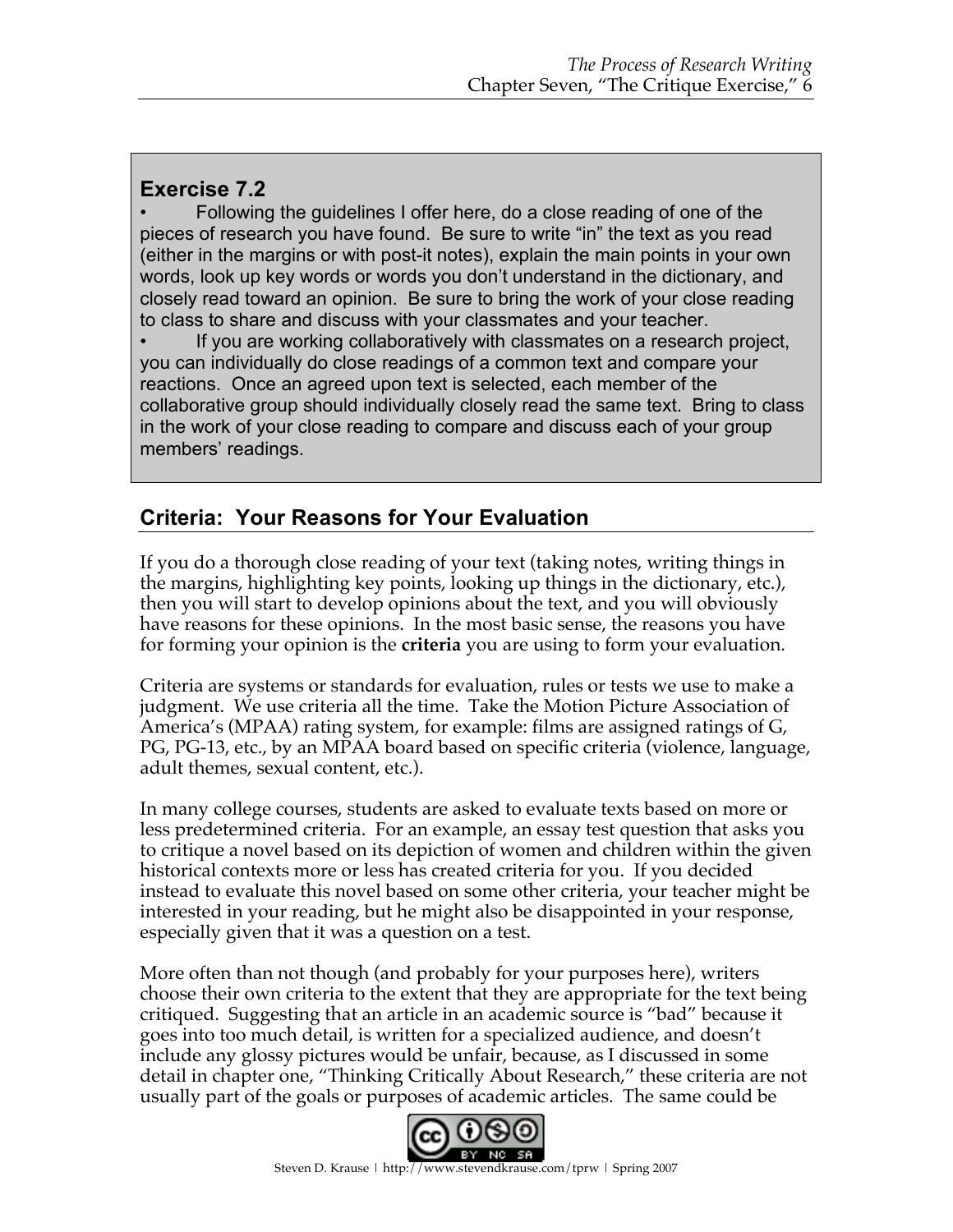## **Exercise 7.2**

• Following the guidelines I offer here, do a close reading of one of the pieces of research you have found. Be sure to write "in" the text as you read (either in the margins or with post-it notes), explain the main points in your own words, look up key words or words you don't understand in the dictionary, and closely read toward an opinion. Be sure to bring the work of your close reading to class to share and discuss with your classmates and your teacher.

If you are working collaboratively with classmates on a research project, you can individually do close readings of a common text and compare your reactions. Once an agreed upon text is selected, each member of the collaborative group should individually closely read the same text. Bring to class in the work of your close reading to compare and discuss each of your group members' readings.

## **Criteria: Your Reasons for Your Evaluation**

If you do a thorough close reading of your text (taking notes, writing things in the margins, highlighting key points, looking up things in the dictionary, etc.), then you will start to develop opinions about the text, and you will obviously have reasons for these opinions. In the most basic sense, the reasons you have for forming your opinion is the **criteria** you are using to form your evaluation.

Criteria are systems or standards for evaluation, rules or tests we use to make a judgment. We use criteria all the time. Take the Motion Picture Association of America's (MPAA) rating system, for example: films are assigned ratings of G, PG, PG-13, etc., by an MPAA board based on specific criteria (violence, language, adult themes, sexual content, etc.).

In many college courses, students are asked to evaluate texts based on more or less predetermined criteria. For an example, an essay test question that asks you to critique a novel based on its depiction of women and children within the given historical contexts more or less has created criteria for you. If you decided instead to evaluate this novel based on some other criteria, your teacher might be interested in your reading, but he might also be disappointed in your response, especially given that it was a question on a test.

More often than not though (and probably for your purposes here), writers choose their own criteria to the extent that they are appropriate for the text being critiqued. Suggesting that an article in an academic source is "bad" because it goes into too much detail, is written for a specialized audience, and doesn't include any glossy pictures would be unfair, because, as I discussed in some detail in chapter one, "Thinking Critically About Research," these criteria are not usually part of the goals or purposes of academic articles. The same could be

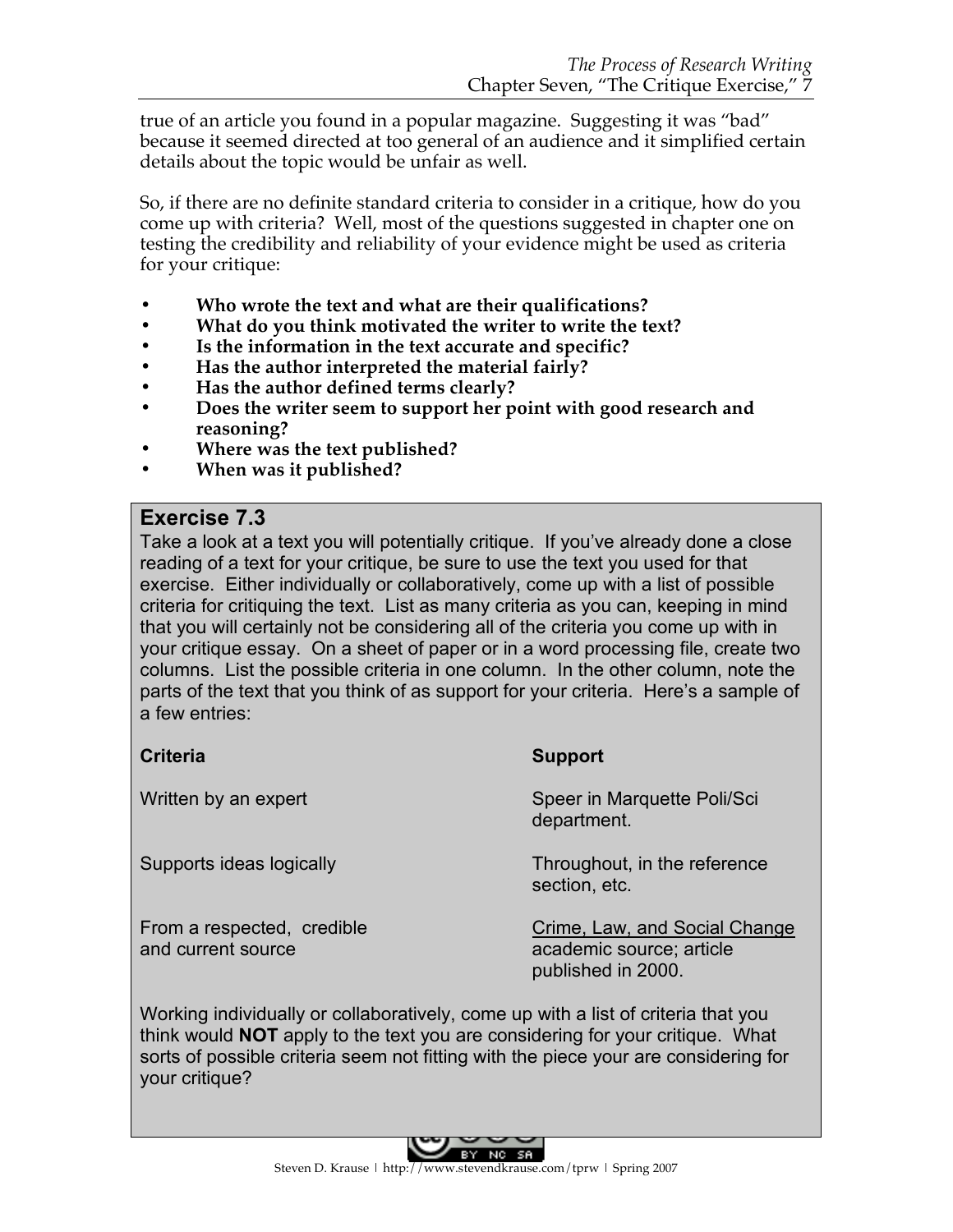true of an article you found in a popular magazine. Suggesting it was "bad" because it seemed directed at too general of an audience and it simplified certain details about the topic would be unfair as well.

So, if there are no definite standard criteria to consider in a critique, how do you come up with criteria? Well, most of the questions suggested in chapter one on testing the credibility and reliability of your evidence might be used as criteria for your critique:

- **• Who wrote the text and what are their qualifications?**
- **• What do you think motivated the writer to write the text?**
- **• Is the information in the text accurate and specific?**
- **• Has the author interpreted the material fairly?**
- **• Has the author defined terms clearly?**
- **• Does the writer seem to support her point with good research and reasoning?**
- **• Where was the text published?**
- **• When was it published?**

#### **Exercise 7.3**

Take a look at a text you will potentially critique. If you've already done a close reading of a text for your critique, be sure to use the text you used for that exercise. Either individually or collaboratively, come up with a list of possible criteria for critiquing the text. List as many criteria as you can, keeping in mind that you will certainly not be considering all of the criteria you come up with in your critique essay. On a sheet of paper or in a word processing file, create two columns. List the possible criteria in one column. In the other column, note the parts of the text that you think of as support for your criteria. Here's a sample of a few entries:

#### **Criteria Support**

section, etc.

Written by an expert Speer in Marquette Poli/Sci department.

Supports ideas logically Throughout, in the reference

and current source and current source; article

From a respected, credible Crime, Law, and Social Change published in 2000.

Working individually or collaboratively, come up with a list of criteria that you think would **NOT** apply to the text you are considering for your critique. What sorts of possible criteria seem not fitting with the piece your are considering for your critique?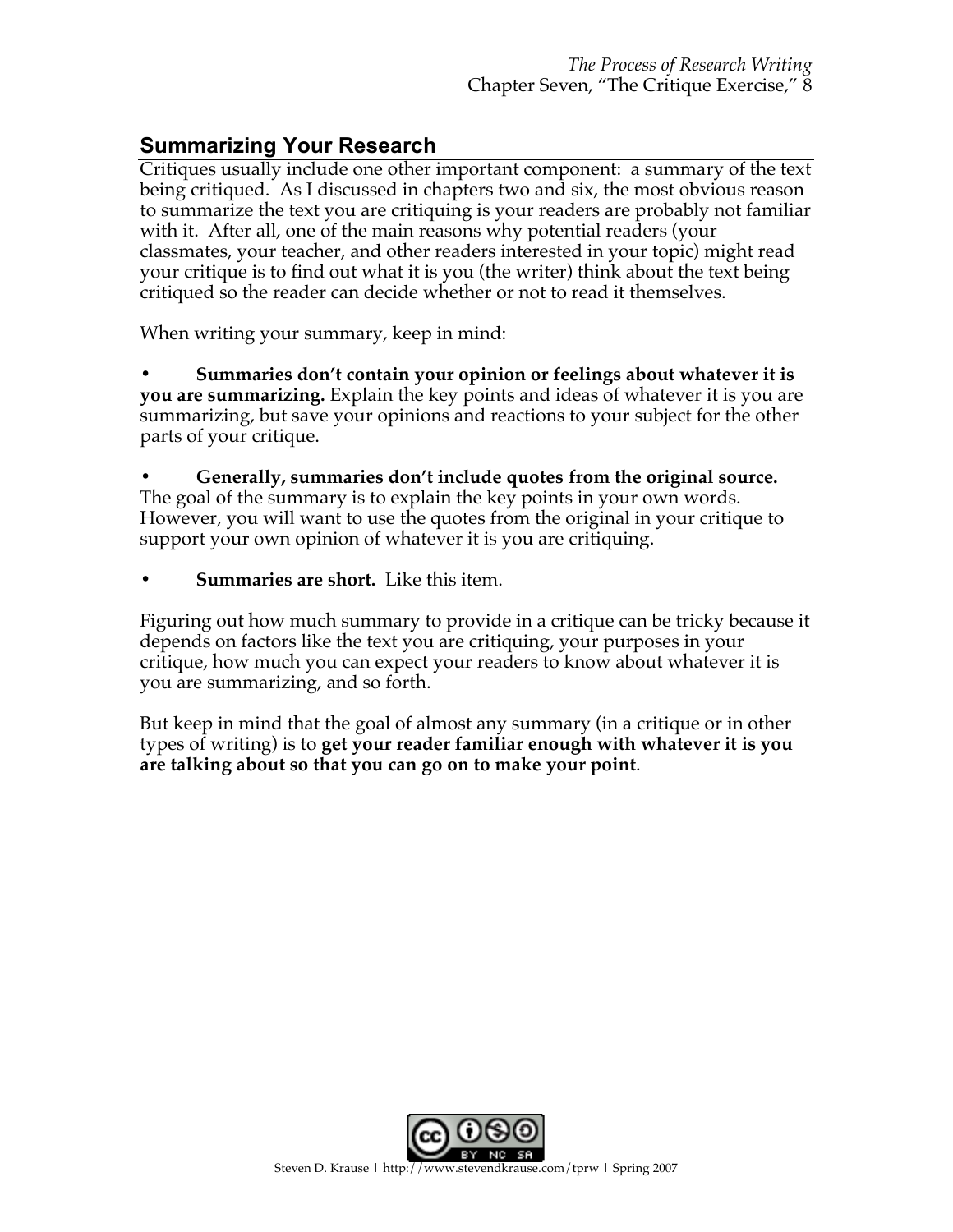## **Summarizing Your Research**

Critiques usually include one other important component: a summary of the text being critiqued. As I discussed in chapters two and six, the most obvious reason to summarize the text you are critiquing is your readers are probably not familiar with it. After all, one of the main reasons why potential readers (your classmates, your teacher, and other readers interested in your topic) might read your critique is to find out what it is you (the writer) think about the text being critiqued so the reader can decide whether or not to read it themselves.

When writing your summary, keep in mind:

**• Summaries don't contain your opinion or feelings about whatever it is you are summarizing.** Explain the key points and ideas of whatever it is you are summarizing, but save your opinions and reactions to your subject for the other parts of your critique.

**• Generally, summaries don't include quotes from the original source.** The goal of the summary is to explain the key points in your own words. However, you will want to use the quotes from the original in your critique to support your own opinion of whatever it is you are critiquing.

**• Summaries are short.** Like this item.

Figuring out how much summary to provide in a critique can be tricky because it depends on factors like the text you are critiquing, your purposes in your critique, how much you can expect your readers to know about whatever it is you are summarizing, and so forth.

But keep in mind that the goal of almost any summary (in a critique or in other types of writing) is to **get your reader familiar enough with whatever it is you are talking about so that you can go on to make your point**.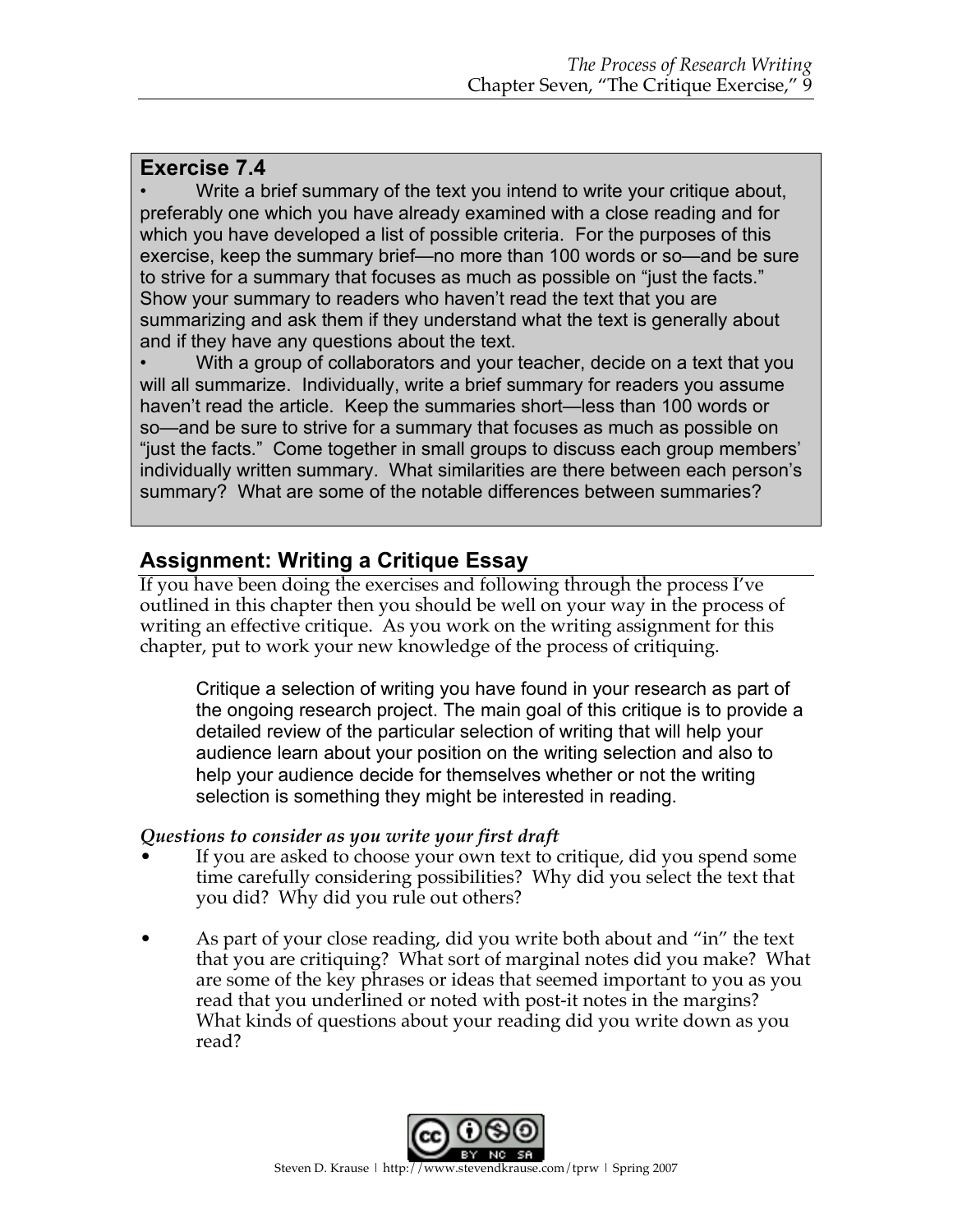### **Exercise 7.4**

Write a brief summary of the text you intend to write your critique about, preferably one which you have already examined with a close reading and for which you have developed a list of possible criteria. For the purposes of this exercise, keep the summary brief—no more than 100 words or so—and be sure to strive for a summary that focuses as much as possible on "just the facts." Show your summary to readers who haven't read the text that you are summarizing and ask them if they understand what the text is generally about and if they have any questions about the text.

• With a group of collaborators and your teacher, decide on a text that you will all summarize. Individually, write a brief summary for readers you assume haven't read the article. Keep the summaries short—less than 100 words or so—and be sure to strive for a summary that focuses as much as possible on "just the facts." Come together in small groups to discuss each group members' individually written summary. What similarities are there between each person's summary? What are some of the notable differences between summaries?

## **Assignment: Writing a Critique Essay**

If you have been doing the exercises and following through the process I've outlined in this chapter then you should be well on your way in the process of writing an effective critique. As you work on the writing assignment for this chapter, put to work your new knowledge of the process of critiquing.

Critique a selection of writing you have found in your research as part of the ongoing research project. The main goal of this critique is to provide a detailed review of the particular selection of writing that will help your audience learn about your position on the writing selection and also to help your audience decide for themselves whether or not the writing selection is something they might be interested in reading.

#### *Questions to consider as you write your first draft*

- If you are asked to choose your own text to critique, did you spend some time carefully considering possibilities? Why did you select the text that you did? Why did you rule out others?
- As part of your close reading, did you write both about and "in" the text that you are critiquing? What sort of marginal notes did you make? What are some of the key phrases or ideas that seemed important to you as you read that you underlined or noted with post-it notes in the margins? What kinds of questions about your reading did you write down as you read?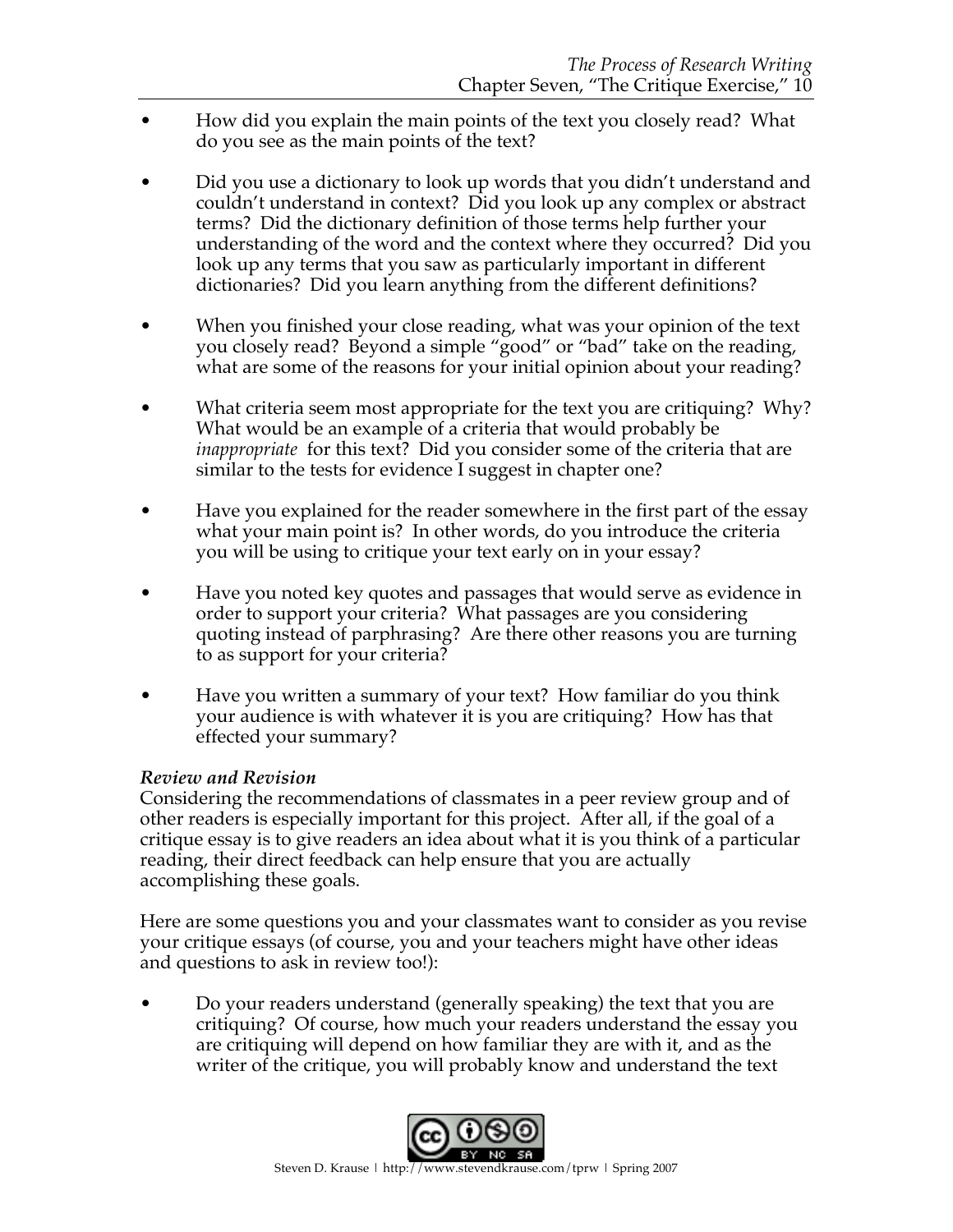- How did you explain the main points of the text you closely read? What do you see as the main points of the text?
- Did you use a dictionary to look up words that you didn't understand and couldn't understand in context? Did you look up any complex or abstract terms? Did the dictionary definition of those terms help further your understanding of the word and the context where they occurred? Did you look up any terms that you saw as particularly important in different dictionaries? Did you learn anything from the different definitions?
- When you finished your close reading, what was your opinion of the text you closely read? Beyond a simple "good" or "bad" take on the reading, what are some of the reasons for your initial opinion about your reading?
- What criteria seem most appropriate for the text you are critiquing? Why? What would be an example of a criteria that would probably be *inappropriate* for this text? Did you consider some of the criteria that are similar to the tests for evidence I suggest in chapter one?
- Have you explained for the reader somewhere in the first part of the essay what your main point is? In other words, do you introduce the criteria you will be using to critique your text early on in your essay?
- Have you noted key quotes and passages that would serve as evidence in order to support your criteria? What passages are you considering quoting instead of parphrasing? Are there other reasons you are turning to as support for your criteria?
- Have you written a summary of your text? How familiar do you think your audience is with whatever it is you are critiquing? How has that effected your summary?

#### *Review and Revision*

Considering the recommendations of classmates in a peer review group and of other readers is especially important for this project. After all, if the goal of a critique essay is to give readers an idea about what it is you think of a particular reading, their direct feedback can help ensure that you are actually accomplishing these goals.

Here are some questions you and your classmates want to consider as you revise your critique essays (of course, you and your teachers might have other ideas and questions to ask in review too!):

• Do your readers understand (generally speaking) the text that you are critiquing? Of course, how much your readers understand the essay you are critiquing will depend on how familiar they are with it, and as the writer of the critique, you will probably know and understand the text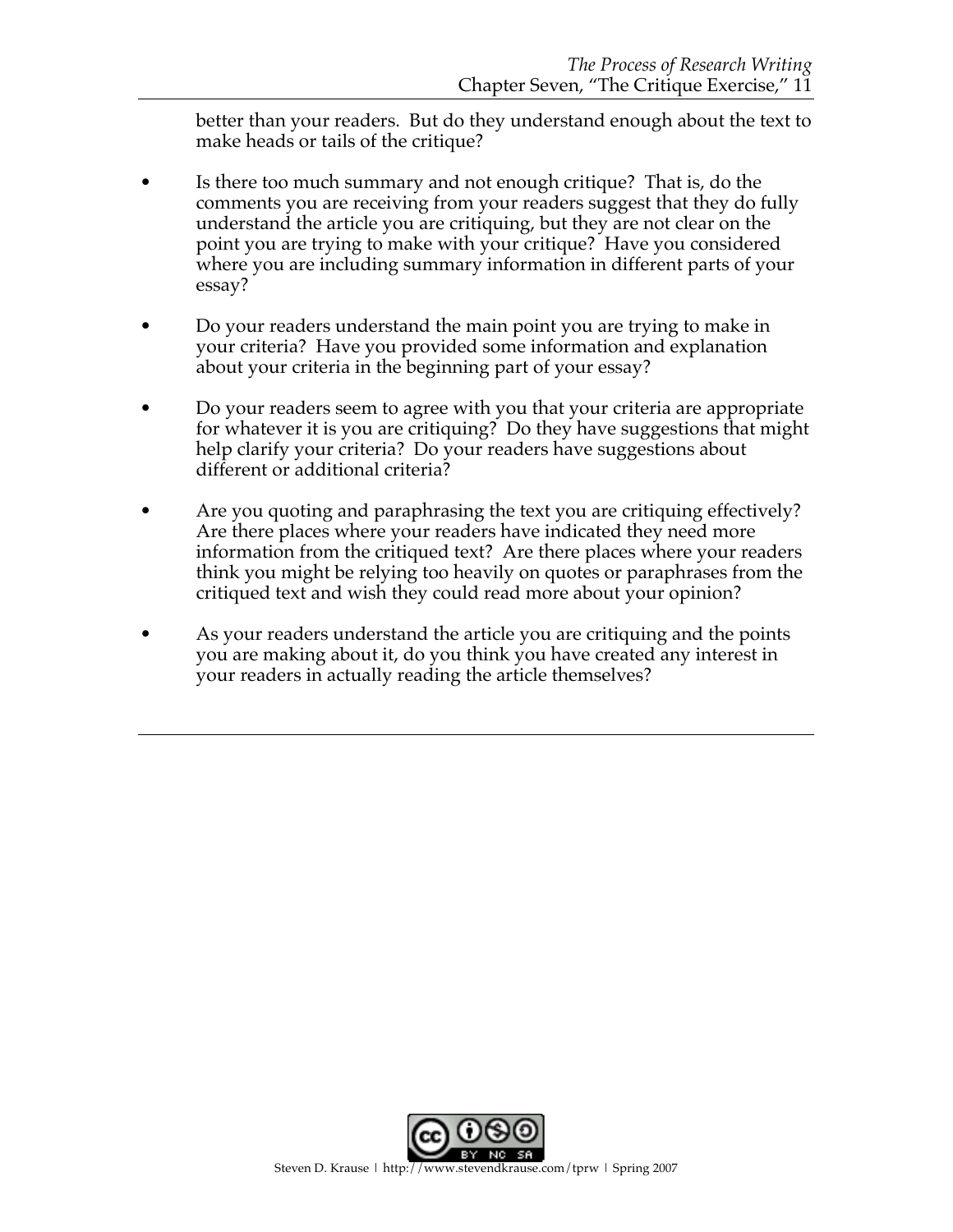better than your readers. But do they understand enough about the text to make heads or tails of the critique?

- Is there too much summary and not enough critique? That is, do the comments you are receiving from your readers suggest that they do fully understand the article you are critiquing, but they are not clear on the point you are trying to make with your critique? Have you considered where you are including summary information in different parts of your essay?
- Do your readers understand the main point you are trying to make in your criteria? Have you provided some information and explanation about your criteria in the beginning part of your essay?
- Do your readers seem to agree with you that your criteria are appropriate for whatever it is you are critiquing? Do they have suggestions that might help clarify your criteria? Do your readers have suggestions about different or additional criteria?
- Are you quoting and paraphrasing the text you are critiquing effectively? Are there places where your readers have indicated they need more information from the critiqued text? Are there places where your readers think you might be relying too heavily on quotes or paraphrases from the critiqued text and wish they could read more about your opinion?
- As your readers understand the article you are critiquing and the points you are making about it, do you think you have created any interest in your readers in actually reading the article themselves?

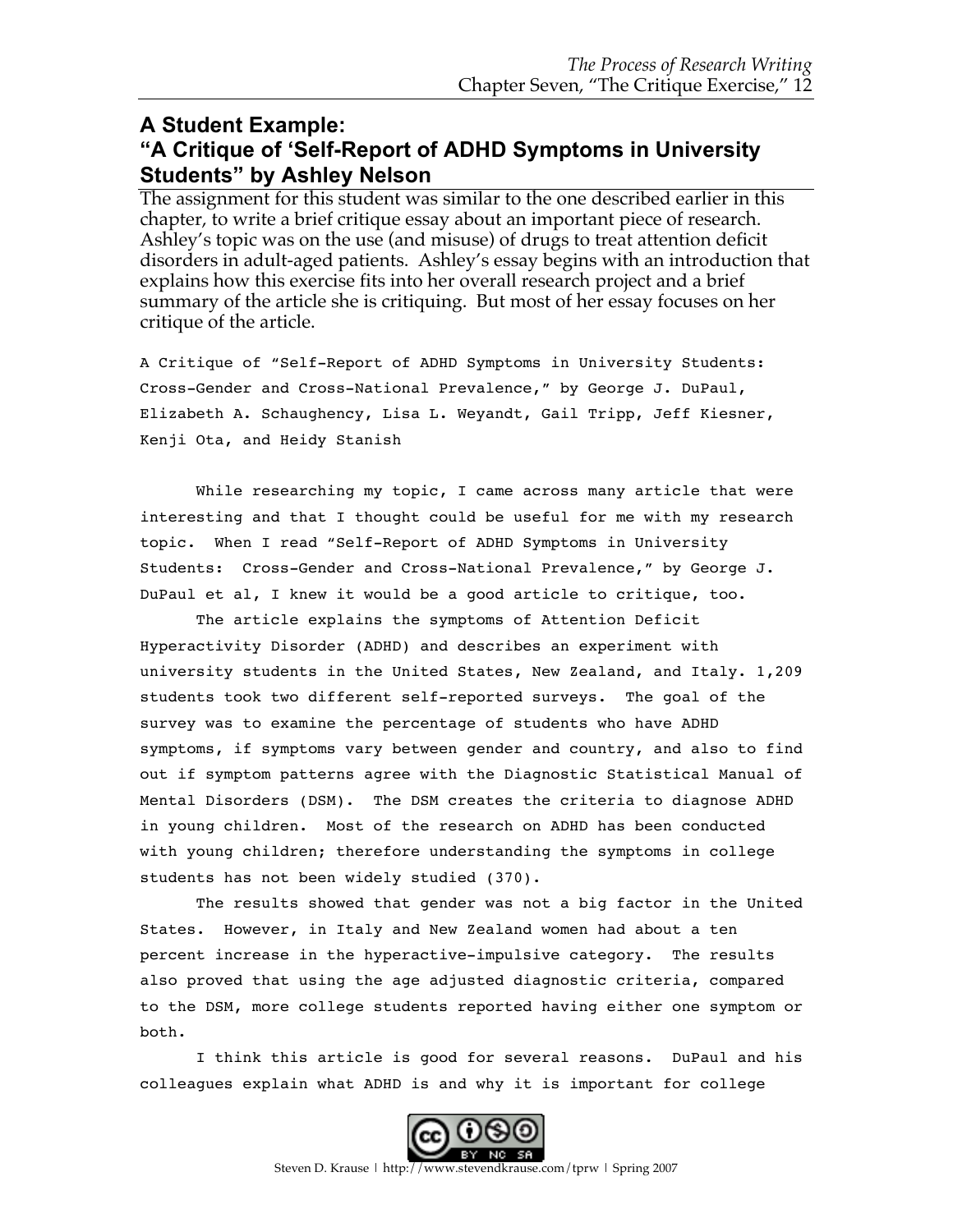### **A Student Example: "A Critique of 'Self-Report of ADHD Symptoms in University Students" by Ashley Nelson**

The assignment for this student was similar to the one described earlier in this chapter, to write a brief critique essay about an important piece of research. Ashley's topic was on the use (and misuse) of drugs to treat attention deficit disorders in adult-aged patients. Ashley's essay begins with an introduction that explains how this exercise fits into her overall research project and a brief summary of the article she is critiquing. But most of her essay focuses on her critique of the article.

A Critique of "Self-Report of ADHD Symptoms in University Students: Cross-Gender and Cross-National Prevalence," by George J. DuPaul, Elizabeth A. Schaughency, Lisa L. Weyandt, Gail Tripp, Jeff Kiesner, Kenji Ota, and Heidy Stanish

While researching my topic, I came across many article that were interesting and that I thought could be useful for me with my research topic. When I read "Self-Report of ADHD Symptoms in University Students: Cross-Gender and Cross-National Prevalence," by George J. DuPaul et al, I knew it would be a good article to critique, too.

The article explains the symptoms of Attention Deficit Hyperactivity Disorder (ADHD) and describes an experiment with university students in the United States, New Zealand, and Italy. 1,209 students took two different self-reported surveys. The goal of the survey was to examine the percentage of students who have ADHD symptoms, if symptoms vary between gender and country, and also to find out if symptom patterns agree with the Diagnostic Statistical Manual of Mental Disorders (DSM). The DSM creates the criteria to diagnose ADHD in young children. Most of the research on ADHD has been conducted with young children; therefore understanding the symptoms in college students has not been widely studied (370).

The results showed that gender was not a big factor in the United States. However, in Italy and New Zealand women had about a ten percent increase in the hyperactive-impulsive category. The results also proved that using the age adjusted diagnostic criteria, compared to the DSM, more college students reported having either one symptom or both.

I think this article is good for several reasons. DuPaul and his colleagues explain what ADHD is and why it is important for college

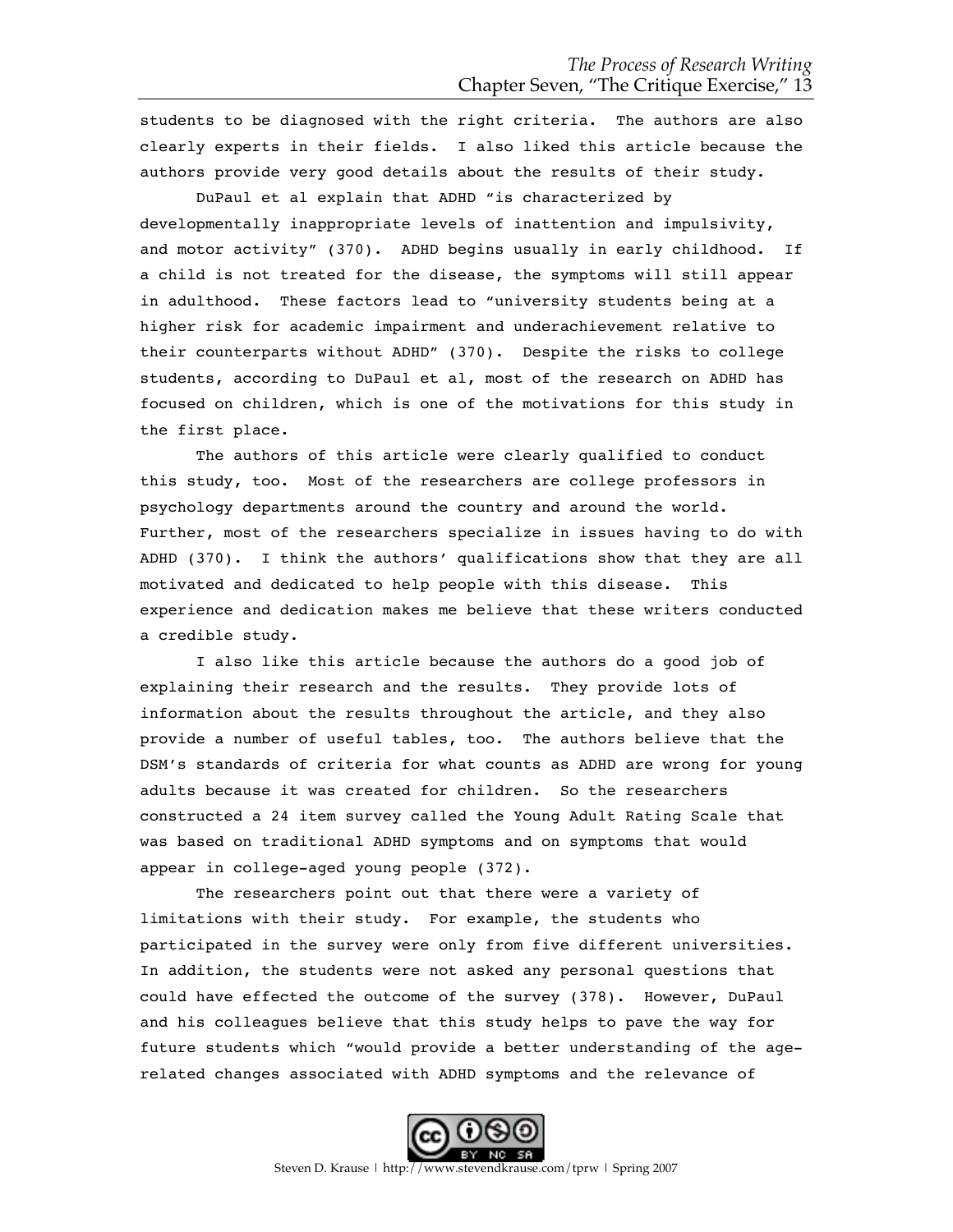students to be diagnosed with the right criteria. The authors are also clearly experts in their fields. I also liked this article because the authors provide very good details about the results of their study.

DuPaul et al explain that ADHD "is characterized by developmentally inappropriate levels of inattention and impulsivity, and motor activity" (370). ADHD begins usually in early childhood. If a child is not treated for the disease, the symptoms will still appear in adulthood. These factors lead to "university students being at a higher risk for academic impairment and underachievement relative to their counterparts without ADHD" (370). Despite the risks to college students, according to DuPaul et al, most of the research on ADHD has focused on children, which is one of the motivations for this study in the first place.

The authors of this article were clearly qualified to conduct this study, too. Most of the researchers are college professors in psychology departments around the country and around the world. Further, most of the researchers specialize in issues having to do with ADHD (370). I think the authors' qualifications show that they are all motivated and dedicated to help people with this disease. This experience and dedication makes me believe that these writers conducted a credible study.

I also like this article because the authors do a good job of explaining their research and the results. They provide lots of information about the results throughout the article, and they also provide a number of useful tables, too. The authors believe that the DSM's standards of criteria for what counts as ADHD are wrong for young adults because it was created for children. So the researchers constructed a 24 item survey called the Young Adult Rating Scale that was based on traditional ADHD symptoms and on symptoms that would appear in college-aged young people (372).

The researchers point out that there were a variety of limitations with their study. For example, the students who participated in the survey were only from five different universities. In addition, the students were not asked any personal questions that could have effected the outcome of the survey (378). However, DuPaul and his colleagues believe that this study helps to pave the way for future students which "would provide a better understanding of the agerelated changes associated with ADHD symptoms and the relevance of



Steven D. Krause | http://www.stevendkrause.com/tprw | Spring 2007